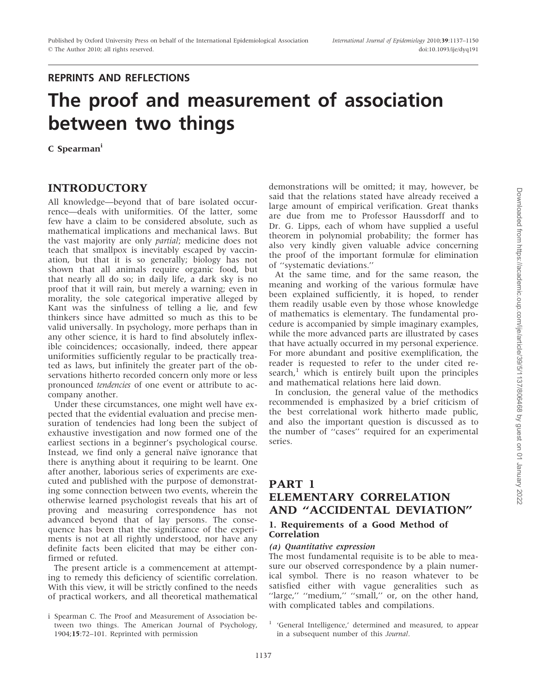# REPRINTS AND REFLECTIONS

# The proof and measurement of association between two things

C Spearman<sup>i</sup>

# INTRODUCTORY

All knowledge—beyond that of bare isolated occurrence—deals with uniformities. Of the latter, some few have a claim to be considered absolute, such as mathematical implications and mechanical laws. But the vast majority are only partial; medicine does not teach that smallpox is inevitably escaped by vaccination, but that it is so generally; biology has not shown that all animals require organic food, but that nearly all do so; in daily life, a dark sky is no proof that it will rain, but merely a warning; even in morality, the sole categorical imperative alleged by Kant was the sinfulness of telling a lie, and few thinkers since have admitted so much as this to be valid universally. In psychology, more perhaps than in any other science, it is hard to find absolutely inflexible coincidences; occasionally, indeed, there appear uniformities sufficiently regular to be practically treated as laws, but infinitely the greater part of the observations hitherto recorded concern only more or less pronounced tendencies of one event or attribute to accompany another.

Under these circumstances, one might well have expected that the evidential evaluation and precise mensuration of tendencies had long been the subject of exhaustive investigation and now formed one of the earliest sections in a beginner's psychological course. Instead, we find only a general naïve ignorance that there is anything about it requiring to be learnt. One after another, laborious series of experiments are executed and published with the purpose of demonstrating some connection between two events, wherein the otherwise learned psychologist reveals that his art of proving and measuring correspondence has not advanced beyond that of lay persons. The consequence has been that the significance of the experiments is not at all rightly understood, nor have any definite facts been elicited that may be either confirmed or refuted.

The present article is a commencement at attempting to remedy this deficiency of scientific correlation. With this view, it will be strictly confined to the needs of practical workers, and all theoretical mathematical demonstrations will be omitted; it may, however, be said that the relations stated have already received a large amount of empirical verification. Great thanks are due from me to Professor Haussdorff and to Dr. G. Lipps, each of whom have supplied a useful theorem in polynomial probability; the former has also very kindly given valuable advice concerning the proof of the important formulæ for elimination of ''systematic deviations.''

At the same time, and for the same reason, the meaning and working of the various formulæ have been explained sufficiently, it is hoped, to render them readily usable even by those whose knowledge of mathematics is elementary. The fundamental procedure is accompanied by simple imaginary examples, while the more advanced parts are illustrated by cases that have actually occurred in my personal experience. For more abundant and positive exemplification, the reader is requested to refer to the under cited research, $\frac{1}{1}$  which is entirely built upon the principles and mathematical relations here laid down.

In conclusion, the general value of the methodics recommended is emphasized by a brief criticism of the best correlational work hitherto made public, and also the important question is discussed as to the number of ''cases'' required for an experimental series.

# PART 1 ELEMENTARY CORRELATION AND ''ACCIDENTAL DEVIATION''

## 1. Requirements of a Good Method of **Correlation**

# (a) Quantitative expression

The most fundamental requisite is to be able to measure our observed correspondence by a plain numerical symbol. There is no reason whatever to be satisfied either with vague generalities such as "large," "medium," "small," or, on the other hand, with complicated tables and compilations.

i Spearman C. The Proof and Measurement of Association between two things. The American Journal of Psychology, 1904;15:72–101. Reprinted with permission

<sup>&</sup>lt;sup>1</sup> 'General Intelligence,' determined and measured, to appear in a subsequent number of this Journal.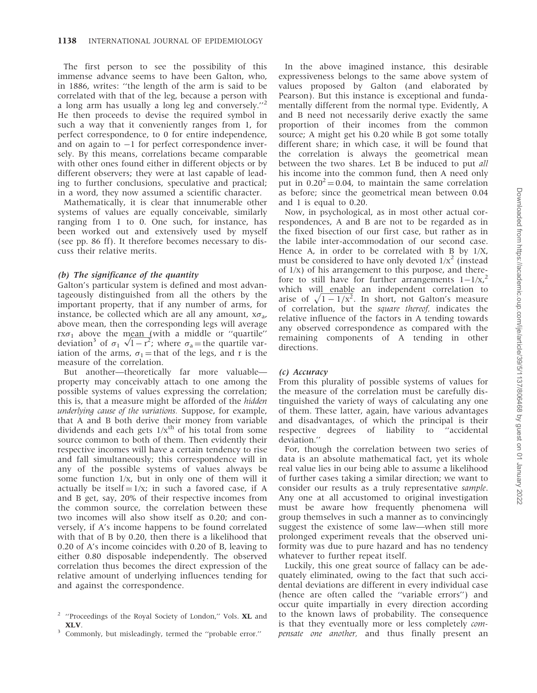The first person to see the possibility of this immense advance seems to have been Galton, who, in 1886, writes: ''the length of the arm is said to be correlated with that of the leg, because a person with a long arm has usually a long leg and conversely.''<sup>2</sup> He then proceeds to devise the required symbol in such a way that it conveniently ranges from 1, for perfect correspondence, to 0 for entire independence, and on again to -1 for perfect correspondence inversely. By this means, correlations became comparable with other ones found either in different objects or by different observers; they were at last capable of leading to further conclusions, speculative and practical; in a word, they now assumed a scientific character.

Mathematically, it is clear that innumerable other systems of values are equally conceivable, similarly ranging from 1 to 0. One such, for instance, has been worked out and extensively used by myself (see pp. 86 ff). It therefore becomes necessary to discuss their relative merits.

## (b) The significance of the quantity

Galton's particular system is defined and most advantageously distinguished from all the others by the important property, that if any number of arms, for instance, be collected which are all any amount,  $x\sigma_{a}$ , above mean, then the corresponding legs will average  $\text{Tr}\sigma_1$  above the mean (with a middle or "quartile" rx $\sigma_1$  above the mean (with a middle or "quartile"<br>deviation<sup>3</sup> of  $\sigma_1 \sqrt{1-r^2}$ ; where  $\sigma_a$  = the quartile variation of the arms,  $\sigma_1$  = that of the legs, and r is the measure of the correlation.

But another—theoretically far more valuable property may conceivably attach to one among the possible systems of values expressing the correlation; this is, that a measure might be afforded of the hidden underlying cause of the variations. Suppose, for example, that A and B both derive their money from variable dividends and each gets  $1/x$ <sup>th</sup> of his total from some source common to both of them. Then evidently their respective incomes will have a certain tendency to rise and fall simultaneously; this correspondence will in any of the possible systems of values always be some function 1/x, but in only one of them will it actually be itself =  $1/x$ ; in such a favored case, if A and B get, say, 20% of their respective incomes from the common source, the correlation between these two incomes will also show itself as 0.20; and conversely, if A's income happens to be found correlated with that of B by 0.20, then there is a likelihood that 0.20 of A's income coincides with 0.20 of B, leaving to either 0.80 disposable independently. The observed correlation thus becomes the direct expression of the relative amount of underlying influences tending for and against the correspondence.

XLV. <sup>3</sup> Commonly, but misleadingly, termed the ''probable error.''

In the above imagined instance, this desirable expressiveness belongs to the same above system of values proposed by Galton (and elaborated by Pearson). But this instance is exceptional and fundamentally different from the normal type. Evidently, A and B need not necessarily derive exactly the same proportion of their incomes from the common source; A might get his 0.20 while B got some totally different share; in which case, it will be found that the correlation is always the geometrical mean between the two shares. Let B be induced to put all his income into the common fund, then A need only put in  $0.20^2 = 0.04$ , to maintain the same correlation as before; since the geometrical mean between 0.04 and 1 is equal to 0.20.

Now, in psychological, as in most other actual correspondences, A and B are not to be regarded as in the fixed bisection of our first case, but rather as in the labile inter-accommodation of our second case. Hence A, in order to be correlated with B by 1/X, must be considered to have only devoted  $1/x^2$  (instead of  $1/x$ ) of his arrangement to this purpose, and therefore to still have for further arrangements  $1-1/x^2$ which will enable an independent correlation to which will enable an independent correlation to arise of  $\sqrt{1-1/x^2}$ . In short, not Galton's measure of correlation, but the square thereof, indicates the relative influence of the factors in A tending towards any observed correspondence as compared with the remaining components of A tending in other directions.

## (c) Accuracy

From this plurality of possible systems of values for the measure of the correlation must be carefully distinguished the variety of ways of calculating any one of them. These latter, again, have various advantages and disadvantages, of which the principal is their respective degrees of liability to ''accidental deviation.''

For, though the correlation between two series of data is an absolute mathematical fact, yet its whole real value lies in our being able to assume a likelihood of further cases taking a similar direction; we want to consider our results as a truly representative sample. Any one at all accustomed to original investigation must be aware how frequently phenomena will group themselves in such a manner as to convincingly suggest the existence of some law—when still more prolonged experiment reveals that the observed uniformity was due to pure hazard and has no tendency whatever to further repeat itself.

Luckily, this one great source of fallacy can be adequately eliminated, owing to the fact that such accidental deviations are different in every individual case (hence are often called the ''variable errors'') and occur quite impartially in every direction according to the known laws of probability. The consequence is that they eventually more or less completely compensate one another, and thus finally present an

<sup>&</sup>lt;sup>2</sup> "Proceedings of the Royal Society of London," Vols. XL and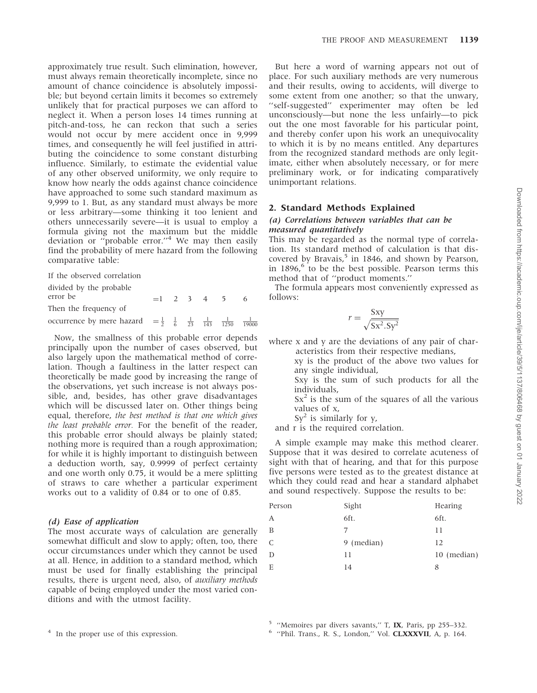approximately true result. Such elimination, however, must always remain theoretically incomplete, since no amount of chance coincidence is absolutely impossible; but beyond certain limits it becomes so extremely unlikely that for practical purposes we can afford to neglect it. When a person loses 14 times running at pitch-and-toss, he can reckon that such a series would not occur by mere accident once in 9,999 times, and consequently he will feel justified in attributing the coincidence to some constant disturbing influence. Similarly, to estimate the evidential value of any other observed uniformity, we only require to know how nearly the odds against chance coincidence have approached to some such standard maximum as 9,999 to 1. But, as any standard must always be more or less arbitrary—some thinking it too lenient and others unnecessarily severe—it is usual to employ a formula giving not the maximum but the middle deviation or "probable error."<sup>4</sup> We may then easily find the probability of mere hazard from the following comparative table:

If the observed correlation

divided by the probable error be  $=1$  2 3 4 5 6 Then the frequency of occurrence by mere hazard  $=\frac{1}{2}$ 1 6  $\frac{1}{23}$   $\frac{1}{143}$   $\frac{1}{1250}$   $\frac{1}{19000}$ 

Now, the smallness of this probable error depends principally upon the number of cases observed, but also largely upon the mathematical method of correlation. Though a faultiness in the latter respect can theoretically be made good by increasing the range of the observations, yet such increase is not always possible, and, besides, has other grave disadvantages which will be discussed later on. Other things being equal, therefore, the best method is that one which gives the least probable error. For the benefit of the reader, this probable error should always be plainly stated; nothing more is required than a rough approximation; for while it is highly important to distinguish between a deduction worth, say, 0.9999 of perfect certainty and one worth only 0.75, it would be a mere splitting of straws to care whether a particular experiment works out to a validity of 0.84 or to one of 0.85.

#### (d) Ease of application

The most accurate ways of calculation are generally somewhat difficult and slow to apply; often, too, there occur circumstances under which they cannot be used at all. Hence, in addition to a standard method, which must be used for finally establishing the principal results, there is urgent need, also, of auxiliary methods capable of being employed under the most varied conditions and with the utmost facility.

But here a word of warning appears not out of place. For such auxiliary methods are very numerous and their results, owing to accidents, will diverge to some extent from one another; so that the unwary, ''self-suggested'' experimenter may often be led unconsciously—but none the less unfairly—to pick out the one most favorable for his particular point, and thereby confer upon his work an unequivocality to which it is by no means entitled. Any departures from the recognized standard methods are only legitimate, either when absolutely necessary, or for mere preliminary work, or for indicating comparatively unimportant relations.

## 2. Standard Methods Explained

#### (a) Correlations between variables that can be measured quantitatively

This may be regarded as the normal type of correlation. Its standard method of calculation is that discovered by Bravais,<sup>5</sup> in 1846, and shown by Pearson, in  $1896$ , to be the best possible. Pearson terms this method that of ''product moments.''

The formula appears most conveniently expressed as follows:

$$
r = \frac{Sxy}{\sqrt{Sx^2 \cdot Sy^2}}
$$

where x and y are the deviations of any pair of characteristics from their respective medians,

xy is the product of the above two values for any single individual,

Sxy is the sum of such products for all the individuals,

 $Sx<sup>2</sup>$  is the sum of the squares of all the various values of x,

 $Sy^2$  is similarly for y,

and r is the required correlation.

A simple example may make this method clearer. Suppose that it was desired to correlate acuteness of sight with that of hearing, and that for this purpose five persons were tested as to the greatest distance at which they could read and hear a standard alphabet and sound respectively. Suppose the results to be:

| Person | Sight      | Hearing     |
|--------|------------|-------------|
| A      | 6ft.       | 6ft.        |
| B      | 7          | 11          |
| C      | 9 (median) | 12          |
| D      | 11         | 10 (median) |
| E      | 14         | 8           |

 $^5$  "Memoires par divers savants," T, IX, Paris, pp 255–332. 6 "Phil. Trans., R. S., London," Vol. CLXXXVII, A, p. 164.

<sup>&</sup>lt;sup>4</sup> In the proper use of this expression.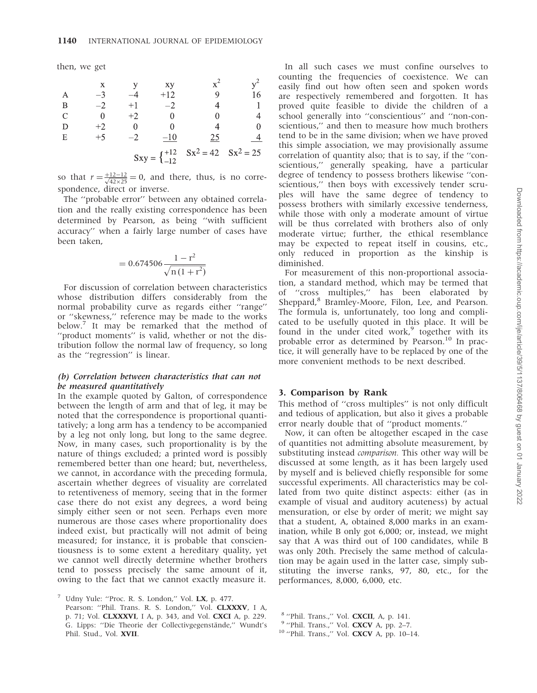then, we get

so that  $r = \frac{+12-12}{\sqrt{42 \times 25}} = 0$ , and there, thus, is no correspondence, direct or inverse.

The ''probable error'' between any obtained correlation and the really existing correspondence has been determined by Pearson, as being ''with sufficient accuracy'' when a fairly large number of cases have been taken,

$$
= 0.674506 \frac{1 - r^2}{\sqrt{n(1 + r^2)}}
$$

For discussion of correlation between characteristics whose distribution differs considerably from the normal probability curve as regards either ''range'' or ''skewness,'' reference may be made to the works below.7 It may be remarked that the method of "product moments" is valid, whether or not the distribution follow the normal law of frequency, so long as the ''regression'' is linear.

#### (b) Correlation between characteristics that can not be measured quantitatively

In the example quoted by Galton, of correspondence between the length of arm and that of leg, it may be noted that the correspondence is proportional quantitatively; a long arm has a tendency to be accompanied by a leg not only long, but long to the same degree. Now, in many cases, such proportionality is by the nature of things excluded; a printed word is possibly remembered better than one heard; but, nevertheless, we cannot, in accordance with the preceding formula, ascertain whether degrees of visuality are correlated to retentiveness of memory, seeing that in the former case there do not exist any degrees, a word being simply either seen or not seen. Perhaps even more numerous are those cases where proportionality does indeed exist, but practically will not admit of being measured; for instance, it is probable that conscientiousness is to some extent a hereditary quality, yet we cannot well directly determine whether brothers tend to possess precisely the same amount of it, owing to the fact that we cannot exactly measure it.

In all such cases we must confine ourselves to counting the frequencies of coexistence. We can easily find out how often seen and spoken words are respectively remembered and forgotten. It has proved quite feasible to divide the children of a school generally into ''conscientious'' and ''non-conscientious,'' and then to measure how much brothers tend to be in the same division; when we have proved this simple association, we may provisionally assume correlation of quantity also; that is to say, if the ''conscientious,'' generally speaking, have a particular degree of tendency to possess brothers likewise ''conscientious,'' then boys with excessively tender scruples will have the same degree of tendency to possess brothers with similarly excessive tenderness, while those with only a moderate amount of virtue will be thus correlated with brothers also of only moderate virtue; further, the ethical resemblance may be expected to repeat itself in cousins, etc., only reduced in proportion as the kinship is diminished.

For measurement of this non-proportional association, a standard method, which may be termed that of ''cross multiples,'' has been elaborated by Sheppard,<sup>8</sup> Bramley-Moore, Filon, Lee, and Pearson. The formula is, unfortunately, too long and complicated to be usefully quoted in this place. It will be found in the under cited work,<sup>9</sup> together with its probable error as determined by Pearson.<sup>10</sup> In practice, it will generally have to be replaced by one of the more convenient methods to be next described.

#### 3. Comparison by Rank

This method of ''cross multiples'' is not only difficult and tedious of application, but also it gives a probable error nearly double that of ''product moments.''

Now, it can often be altogether escaped in the case of quantities not admitting absolute measurement, by substituting instead comparison. This other way will be discussed at some length, as it has been largely used by myself and is believed chiefly responsible for some successful experiments. All characteristics may be collated from two quite distinct aspects: either (as in example of visual and auditory acuteness) by actual mensuration, or else by order of merit; we might say that a student, A, obtained 8,000 marks in an examination, while B only got 6,000; or, instead, we might say that A was third out of 100 candidates, while B was only 20th. Precisely the same method of calculation may be again used in the latter case, simply substituting the inverse ranks, 97, 80, etc., for the performances, 8,000, 6,000, etc.

- $8$  "Phil. Trans.," Vol. **CXCII**, A, p. 141.<br><sup>9</sup> "Phil. Trans.," Vol. **CXCV** A, pp. 2–7.<br><sup>10</sup> "Phil. Trans.," Vol. **CXCV** A, pp. 10–14.
- 
- 

<sup>7</sup> Udny Yule: ''Proc. R. S. London,'' Vol. LX, p. 477. Pearson: ''Phil. Trans. R. S. London,'' Vol. CLXXXV, I A, p. 71; Vol. CLXXXVI, I A, p. 343, and Vol. CXCI A, p. 229. G. Lipps: "Die Theorie der Collectivgegenstände," Wundt's Phil. Stud., Vol. XVII.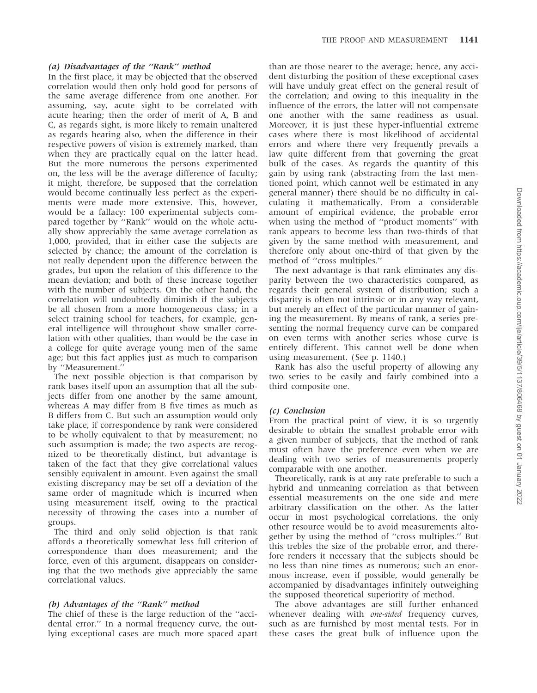#### (a) Disadvantages of the ''Rank'' method

In the first place, it may be objected that the observed correlation would then only hold good for persons of the same average difference from one another. For assuming, say, acute sight to be correlated with acute hearing; then the order of merit of A, B and C, as regards sight, is more likely to remain unaltered as regards hearing also, when the difference in their respective powers of vision is extremely marked, than when they are practically equal on the latter head. But the more numerous the persons experimented on, the less will be the average difference of faculty; it might, therefore, be supposed that the correlation would become continually less perfect as the experiments were made more extensive. This, however, would be a fallacy: 100 experimental subjects compared together by "Rank" would on the whole actually show appreciably the same average correlation as 1,000, provided, that in either case the subjects are selected by chance; the amount of the correlation is not really dependent upon the difference between the grades, but upon the relation of this difference to the mean deviation; and both of these increase together with the number of subjects. On the other hand, the correlation will undoubtedly diminish if the subjects be all chosen from a more homogeneous class; in a select training school for teachers, for example, general intelligence will throughout show smaller correlation with other qualities, than would be the case in a college for quite average young men of the same age; but this fact applies just as much to comparison by ''Measurement.''

The next possible objection is that comparison by rank bases itself upon an assumption that all the subjects differ from one another by the same amount, whereas A may differ from B five times as much as B differs from C. But such an assumption would only take place, if correspondence by rank were considered to be wholly equivalent to that by measurement; no such assumption is made; the two aspects are recognized to be theoretically distinct, but advantage is taken of the fact that they give correlational values sensibly equivalent in amount. Even against the small existing discrepancy may be set off a deviation of the same order of magnitude which is incurred when using measurement itself, owing to the practical necessity of throwing the cases into a number of groups.

The third and only solid objection is that rank affords a theoretically somewhat less full criterion of correspondence than does measurement; and the force, even of this argument, disappears on considering that the two methods give appreciably the same correlational values.

#### (b) Advantages of the ''Rank'' method

The chief of these is the large reduction of the ''accidental error.'' In a normal frequency curve, the outlying exceptional cases are much more spaced apart

than are those nearer to the average; hence, any accident disturbing the position of these exceptional cases will have unduly great effect on the general result of the correlation; and owing to this inequality in the influence of the errors, the latter will not compensate one another with the same readiness as usual. Moreover, it is just these hyper-influential extreme cases where there is most likelihood of accidental errors and where there very frequently prevails a law quite different from that governing the great bulk of the cases. As regards the quantity of this gain by using rank (abstracting from the last mentioned point, which cannot well be estimated in any general manner) there should be no difficulty in calculating it mathematically. From a considerable amount of empirical evidence, the probable error when using the method of ''product moments'' with rank appears to become less than two-thirds of that given by the same method with measurement, and therefore only about one-third of that given by the method of ''cross multiples.''

The next advantage is that rank eliminates any disparity between the two characteristics compared, as regards their general system of distribution; such a disparity is often not intrinsic or in any way relevant, but merely an effect of the particular manner of gaining the measurement. By means of rank, a series presenting the normal frequency curve can be compared on even terms with another series whose curve is entirely different. This cannot well be done when using measurement. (See p. 1140.)

Rank has also the useful property of allowing any two series to be easily and fairly combined into a third composite one.

#### (c) Conclusion

From the practical point of view, it is so urgently desirable to obtain the smallest probable error with a given number of subjects, that the method of rank must often have the preference even when we are dealing with two series of measurements properly comparable with one another.

Theoretically, rank is at any rate preferable to such a hybrid and unmeaning correlation as that between essential measurements on the one side and mere arbitrary classification on the other. As the latter occur in most psychological correlations, the only other resource would be to avoid measurements altogether by using the method of ''cross multiples.'' But this trebles the size of the probable error, and therefore renders it necessary that the subjects should be no less than nine times as numerous; such an enormous increase, even if possible, would generally be accompanied by disadvantages infinitely outweighing the supposed theoretical superiority of method.

The above advantages are still further enhanced whenever dealing with *one-sided* frequency curves, such as are furnished by most mental tests. For in these cases the great bulk of influence upon the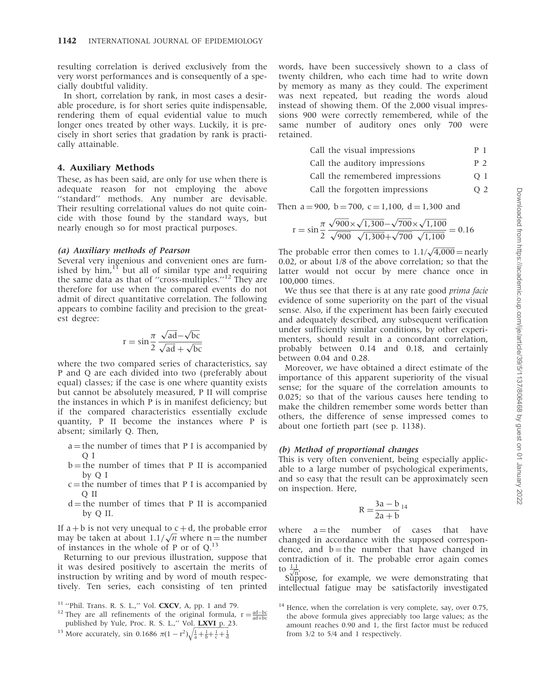resulting correlation is derived exclusively from the very worst performances and is consequently of a specially doubtful validity.

In short, correlation by rank, in most cases a desirable procedure, is for short series quite indispensable, rendering them of equal evidential value to much longer ones treated by other ways. Luckily, it is precisely in short series that gradation by rank is practically attainable.

# 4. Auxiliary Methods

These, as has been said, are only for use when there is adequate reason for not employing the above "standard" methods. Any number are devisable. Their resulting correlational values do not quite coincide with those found by the standard ways, but nearly enough so for most practical purposes.

## (a) Auxiliary methods of Pearson

Several very ingenious and convenient ones are furnished by  $\lim_{h \to 1}$ <sup>11</sup> but all of similar type and requiring the same data as that of ''cross-multiples.''<sup>12</sup> They are therefore for use when the compared events do not admit of direct quantitative correlation. The following appears to combine facility and precision to the greatest degree:

$$
r = \sin\frac{\pi}{2} \frac{\sqrt{ad} - \sqrt{bc}}{\sqrt{ad} + \sqrt{bc}}
$$

where the two compared series of characteristics, say P and Q are each divided into two (preferably about equal) classes; if the case is one where quantity exists but cannot be absolutely measured, P II will comprise the instances in which P is in manifest deficiency; but if the compared characteristics essentially exclude quantity, P II become the instances where P is absent; similarly Q. Then,

- $a =$  the number of times that P I is accompanied by Q I
- $b =$  the number of times that P II is accompanied by Q I
- $c$  = the number of times that P I is accompanied by  $\Omega$  II
- $d =$  the number of times that P II is accompanied by Q II.

If  $a + b$  is not very unequal to  $c + d$ , the probable error It a + b is not very unequal to c + a, the probable error<br>may be taken at about  $1.1/\sqrt{n}$  where n = the number of instances in the whole of P or of  $Q<sup>13</sup>$ .

Returning to our previous illustration, suppose that it was desired positively to ascertain the merits of instruction by writing and by word of mouth respectively. Ten series, each consisting of ten printed

- <sup>11</sup> "Phil. Trans. R. S. L.," Vol. **CXCV**, A, pp. 1 and 79.  $n^{12}$  They are all refinements of the original formula,  $r = \frac{ad-bc}{ad+bc}$ published by Yule, Proc. R. S. L.,'' Vol.  $\frac{LXVI}{L}$  p. 23.
- <sup>13</sup> More accurately, sin 0.1686  $\pi(1 r^2)\sqrt{\frac{1}{a} + \frac{1}{b} + \frac{1}{c} + \frac{1}{d}}$

words, have been successively shown to a class of twenty children, who each time had to write down by memory as many as they could. The experiment was next repeated, but reading the words aloud instead of showing them. Of the 2,000 visual impressions 900 were correctly remembered, while of the same number of auditory ones only 700 were retained.

|  |  |  | Call the visual impressions |  | Рl |  |
|--|--|--|-----------------------------|--|----|--|
|--|--|--|-----------------------------|--|----|--|

- Call the auditory impressions P 2
- Call the remembered impressions Q 1
- Call the forgotten impressions Q 2

Then  $a = 900$ ,  $b = 700$ ,  $c = 1,100$ ,  $d = 1,300$  and

$$
r = \sin\frac{\pi}{2} \frac{\sqrt{900} \times \sqrt{1,300} - \sqrt{700} \times \sqrt{1,100}}{\sqrt{900} \sqrt{1,300} + \sqrt{700} \sqrt{1,100}} = 0.16
$$

The probable error then comes to  $1.1/\sqrt{4,000}$  = nearly 0.02, or about 1/8 of the above correlation; so that the latter would not occur by mere chance once in 100,000 times.

We thus see that there is at any rate good prima facie evidence of some superiority on the part of the visual sense. Also, if the experiment has been fairly executed and adequately described, any subsequent verification under sufficiently similar conditions, by other experimenters, should result in a concordant correlation, probably between 0.14 and 0.18, and certainly between 0.04 and 0.28.

Moreover, we have obtained a direct estimate of the importance of this apparent superiority of the visual sense; for the square of the correlation amounts to 0.025; so that of the various causes here tending to make the children remember some words better than others, the difference of sense impressed comes to about one fortieth part (see p. 1138).

## (b) Method of proportional changes

This is very often convenient, being especially applicable to a large number of psychological experiments, and so easy that the result can be approximately seen on inspection. Here,

$$
R=\frac{3a-b}{2a+b}{}^{14}
$$

where  $a =$  the number of cases that have changed in accordance with the supposed correspondence, and  $b =$  the number that have changed in contradiction of it. The probable error again comes to  $\frac{1.1}{\sqrt{n}}$ .

Suppose, for example, we were demonstrating that intellectual fatigue may be satisfactorily investigated

 $14$  Hence, when the correlation is very complete, say, over 0.75, the above formula gives appreciably too large values; as the amount reaches 0.90 and 1, the first factor must be reduced from 3/2 to 5/4 and 1 respectively.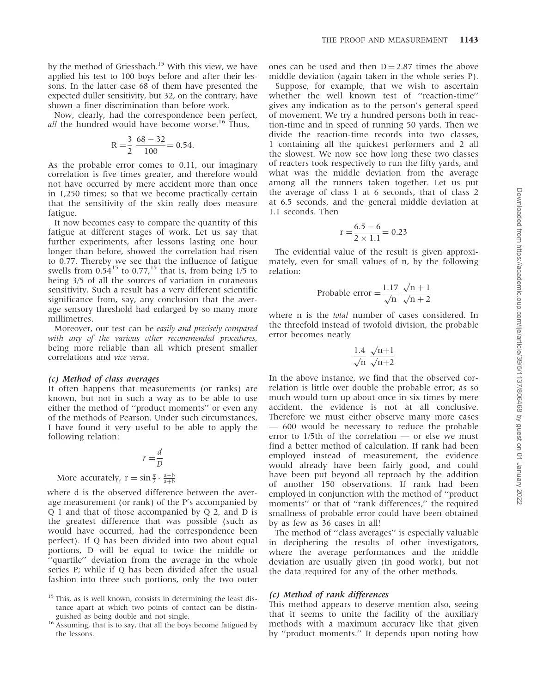by the method of Griessbach.<sup>15</sup> With this view, we have applied his test to 100 boys before and after their lessons. In the latter case 68 of them have presented the expected duller sensitivity, but 32, on the contrary, have shown a finer discrimination than before work.

Now, clearly, had the correspondence been perfect, all the hundred would have become worse.<sup>16</sup> Thus,

$$
R = \frac{3}{2} \frac{68 - 32}{100} = 0.54.
$$

As the probable error comes to 0.11, our imaginary correlation is five times greater, and therefore would not have occurred by mere accident more than once in 1,250 times; so that we become practically certain that the sensitivity of the skin really does measure fatigue.

It now becomes easy to compare the quantity of this fatigue at different stages of work. Let us say that further experiments, after lessons lasting one hour longer than before, showed the correlation had risen to 0.77. Thereby we see that the influence of fatigue swells from  $0.54^{15}$  to  $0.77<sup>15</sup>$  that is, from being  $1/5$  to being 3/5 of all the sources of variation in cutaneous sensitivity. Such a result has a very different scientific significance from, say, any conclusion that the average sensory threshold had enlarged by so many more millimetres.

Moreover, our test can be easily and precisely compared with any of the various other recommended procedures, being more reliable than all which present smaller correlations and vice versa.

## (c) Method of class averages

It often happens that measurements (or ranks) are known, but not in such a way as to be able to use either the method of ''product moments'' or even any of the methods of Pearson. Under such circumstances, I have found it very useful to be able to apply the following relation:

$$
r = \frac{d}{D}
$$

More accurately,  $r = \sin \frac{\pi}{2} \cdot \frac{a-b}{a+b}$ 

where d is the observed difference between the average measurement (or rank) of the P's accompanied by Q 1 and that of those accompanied by Q 2, and D is the greatest difference that was possible (such as would have occurred, had the correspondence been perfect). If Q has been divided into two about equal portions, D will be equal to twice the middle or ''quartile'' deviation from the average in the whole series P; while if Q has been divided after the usual fashion into three such portions, only the two outer

ones can be used and then  $D = 2.87$  times the above middle deviation (again taken in the whole series P).

THE PROOF AND MEASUREMENT 1143

Suppose, for example, that we wish to ascertain whether the well known test of ''reaction-time'' gives any indication as to the person's general speed of movement. We try a hundred persons both in reaction-time and in speed of running 50 yards. Then we divide the reaction-time records into two classes, 1 containing all the quickest performers and 2 all the slowest. We now see how long these two classes of reacters took respectively to run the fifty yards, and what was the middle deviation from the average among all the runners taken together. Let us put the average of class 1 at 6 seconds, that of class 2 at 6.5 seconds, and the general middle deviation at 1.1 seconds. Then

$$
r = \frac{6.5 - 6}{2 \times 1.1} = 0.23
$$

The evidential value of the result is given approximately, even for small values of n, by the following relation:

$$
ext{Probable error} = \frac{1.17}{\sqrt{n}} \frac{\sqrt{n+1}}{\sqrt{n+2}}
$$

where n is the total number of cases considered. In the threefold instead of twofold division, the probable error becomes nearly

$$
\frac{1.4}{\sqrt{n}} \frac{\sqrt{n+1}}{\sqrt{n+2}}
$$

In the above instance, we find that the observed correlation is little over double the probable error; as so much would turn up about once in six times by mere accident, the evidence is not at all conclusive. Therefore we must either observe many more cases — 600 would be necessary to reduce the probable error to 1/5th of the correlation — or else we must find a better method of calculation. If rank had been employed instead of measurement, the evidence would already have been fairly good, and could have been put beyond all reproach by the addition of another 150 observations. If rank had been employed in conjunction with the method of ''product moments'' or that of ''rank differences,'' the required smallness of probable error could have been obtained by as few as 36 cases in all!

The method of ''class averages'' is especially valuable in deciphering the results of other investigators, where the average performances and the middle deviation are usually given (in good work), but not the data required for any of the other methods.

# (c) Method of rank differences

This method appears to deserve mention also, seeing that it seems to unite the facility of the auxiliary methods with a maximum accuracy like that given by ''product moments.'' It depends upon noting how

<sup>&</sup>lt;sup>15</sup> This, as is well known, consists in determining the least distance apart at which two points of contact can be distin-

 $\frac{16}{16}$  Assuming, that is to say, that all the boys become fatigued by the lessons.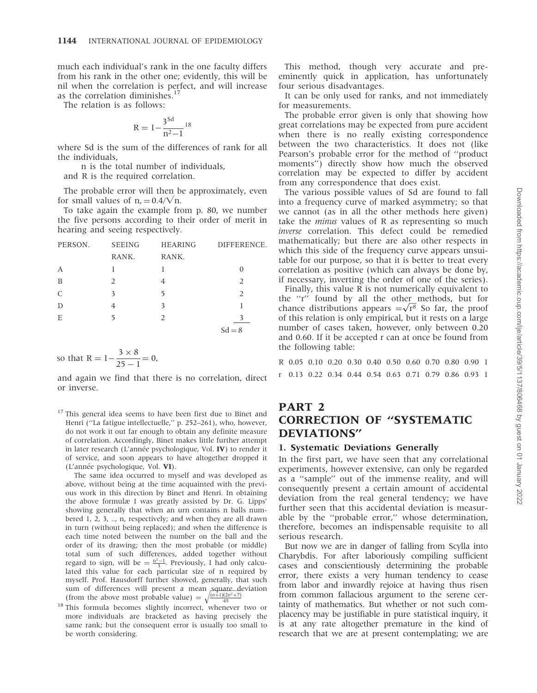much each individual's rank in the one faculty differs from his rank in the other one; evidently, this will be nil when the correlation is perfect, and will increase as the correlation diminishes.<sup>17</sup>

The relation is as follows:

$$
R=1\!-\!\frac{3^{Sd}}{n^2\!-\!1}{}^{18}
$$

where Sd is the sum of the differences of rank for all the individuals,

n is the total number of individuals,

and R is the required correlation.

The probable error will then be approximately, even for small values of  $n = 0.4/\sqrt{n}$ .

To take again the example from p. 80, we number the five persons according to their order of merit in hearing and seeing respectively.

| PERSON.        | <b>SEEING</b> | HEARING | DIFFERENCE. |
|----------------|---------------|---------|-------------|
|                | RANK.         | RANK.   |             |
| $\overline{A}$ |               |         |             |
| B              | 2             | 4       | 2           |
| $\mathsf{C}$   | 3             | 5       | 2           |
| D              | 4             | 3       |             |
| E              | 5             | 2       | 3           |
|                |               |         | $Sd = 8$    |

so that 
$$
R = 1 - \frac{3 \times 8}{25 - 1} = 0
$$
,

and again we find that there is no correlation, direct or inverse.

<sup>17</sup> This general idea seems to have been first due to Binet and Henri ("La fatigue intellectuelle," p. 252–261), who, however, do not work it out far enough to obtain any definite measure of correlation. Accordingly, Binet makes little further attempt in later research (L'année psychologique, Vol. IV) to render it of service, and soon appears to have altogether dropped it (L'année psychologique, Vol. VI).

The same idea occurred to myself and was developed as above, without being at the time acquainted with the previous work in this direction by Binet and Henri. In obtaining the above formulæ I was greatly assisted by Dr. G. Lipps' showing generally that when an urn contains n balls numbered 1, 2, 3, .., n, respectively; and when they are all drawn in turn (without being replaced); and when the difference is each time noted between the number on the ball and the order of its drawing; then the most probable (or middle) total sum of such differences, added together without regard to sign, will be  $=\frac{n^2-1}{3}$ . Previously, I had only calcu-<br>lated this value for each particular size of n required by myself. Prof. Hausdorff further showed, generally, that such sum of differences will present a mean square deviation sum of differences will present a mean square d<br>(from the above most probable value) =  $\sqrt{\frac{(n+1)(2n^2+7)}{45}}$ 

<sup>18</sup> This formula becomes slightly incorrect, whenever two or more individuals are bracketed as having precisely the same rank; but the consequent error is usually too small to be worth considering.

This method, though very accurate and preeminently quick in application, has unfortunately four serious disadvantages.

It can be only used for ranks, and not immediately for measurements.

The probable error given is only that showing how great correlations may be expected from pure accident when there is no really existing correspondence between the two characteristics. It does not (like Pearson's probable error for the method of ''product moments'') directly show how much the observed correlation may be expected to differ by accident from any correspondence that does exist.

The various possible values of Sd are found to fall into a frequency curve of marked asymmetry; so that we cannot (as in all the other methods here given) take the *minus* values of R as representing so much inverse correlation. This defect could be remedied mathematically; but there are also other respects in which this side of the frequency curve appears unsuitable for our purpose, so that it is better to treat every correlation as positive (which can always be done by, if necessary, inverting the order of one of the series). Finally, this value R is not numerically equivalent to the ''r'' found by all the other methods, but for the "r" found by all the other methods, but for chance distributions appears  $=\sqrt{r^8}$  So far, the proof

of this relation is only empirical, but it rests on a large number of cases taken, however, only between 0.20 and 0.60. If it be accepted r can at once be found from the following table:

R 0.05 0.10 0.20 0.30 0.40 0.50 0.60 0.70 0.80 0.90 1 r 0.13 0.22 0.34 0.44 0.54 0.63 0.71 0.79 0.86 0.93 1

# PART 2 CORRECTION OF ''SYSTEMATIC DEVIATIONS''

#### 1. Systematic Deviations Generally

In the first part, we have seen that any correlational experiments, however extensive, can only be regarded as a ''sample'' out of the immense reality, and will consequently present a certain amount of accidental deviation from the real general tendency; we have further seen that this accidental deviation is measurable by the ''probable error,'' whose determination, therefore, becomes an indispensable requisite to all serious research.

But now we are in danger of falling from Scylla into Charybdis. For after laboriously compiling sufficient cases and conscientiously determining the probable error, there exists a very human tendency to cease from labor and inwardly rejoice at having thus risen from common fallacious argument to the serene certainty of mathematics. But whether or not such complacency may be justifiable in pure statistical inquiry, it is at any rate altogether premature in the kind of research that we are at present contemplating; we are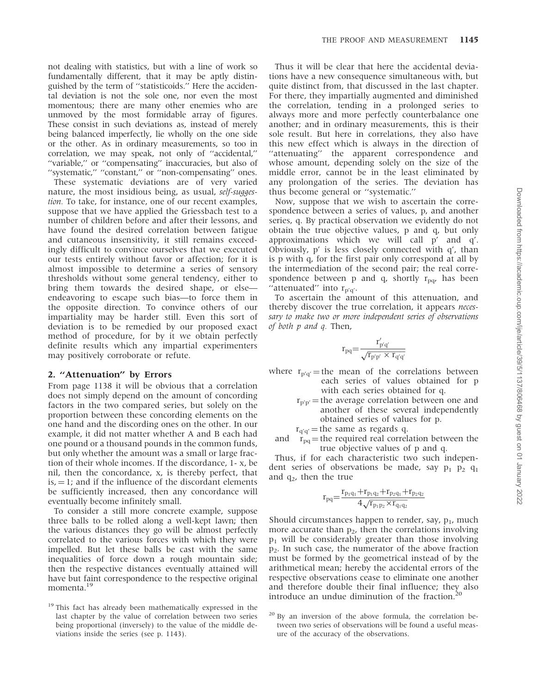not dealing with statistics, but with a line of work so fundamentally different, that it may be aptly distinguished by the term of ''statisticoids.'' Here the accidental deviation is not the sole one, nor even the most momentous; there are many other enemies who are unmoved by the most formidable array of figures. These consist in such deviations as, instead of merely being balanced imperfectly, lie wholly on the one side or the other. As in ordinary measurements, so too in correlation, we may speak, not only of ''accidental,'' ''variable,'' or ''compensating'' inaccuracies, but also of "systematic," "constant," or "non-compensating" ones.

These systematic deviations are of very varied nature, the most insidious being, as usual, self-suggestion. To take, for instance, one of our recent examples, suppose that we have applied the Griessbach test to a number of children before and after their lessons, and have found the desired correlation between fatigue and cutaneous insensitivity, it still remains exceedingly difficult to convince ourselves that we executed our tests entirely without favor or affection; for it is almost impossible to determine a series of sensory thresholds without some general tendency, either to bring them towards the desired shape, or else endeavoring to escape such bias—to force them in the opposite direction. To convince others of our impartiality may be harder still. Even this sort of deviation is to be remedied by our proposed exact method of procedure, for by it we obtain perfectly definite results which any impartial experimenters may positively corroborate or refute.

#### 2. ''Attenuation'' by Errors

From page 1138 it will be obvious that a correlation does not simply depend on the amount of concording factors in the two compared series, but solely on the proportion between these concording elements on the one hand and the discording ones on the other. In our example, it did not matter whether A and B each had one pound or a thousand pounds in the common funds, but only whether the amount was a small or large fraction of their whole incomes. If the discordance, 1- x, be nil, then the concordance, x, is thereby perfect, that  $is, = 1$ ; and if the influence of the discordant elements be sufficiently increased, then any concordance will eventually become infinitely small.

To consider a still more concrete example, suppose three balls to be rolled along a well-kept lawn; then the various distances they go will be almost perfectly correlated to the various forces with which they were impelled. But let these balls be cast with the same inequalities of force down a rough mountain side; then the respective distances eventually attained will have but faint correspondence to the respective original momenta.<sup>19</sup>

Thus it will be clear that here the accidental deviations have a new consequence simultaneous with, but quite distinct from, that discussed in the last chapter. For there, they impartially augmented and diminished the correlation, tending in a prolonged series to always more and more perfectly counterbalance one another; and in ordinary measurements, this is their sole result. But here in correlations, they also have this new effect which is always in the direction of ''attenuating'' the apparent correspondence and whose amount, depending solely on the size of the middle error, cannot be in the least eliminated by any prolongation of the series. The deviation has thus become general or ''systematic.''

Now, suppose that we wish to ascertain the correspondence between a series of values, p, and another series, q. By practical observation we evidently do not obtain the true objective values, p and q, but only approximations which we will call p' and q'. Obviously, p' is less closely connected with q', than is p with q, for the first pair only correspond at all by the intermediation of the second pair; the real correspondence between p and q, shortly  $r_{\text{p}q}$ , has been "attenuated" into  $r_{p'q'}$ .

To ascertain the amount of this attenuation, and thereby discover the true correlation, it appears necessary to make two or more independent series of observations of both p and q. Then,

$$
r_{pq} = \frac{r'_{p'q'}}{\sqrt{r_{p'p'} \times r_{q'q'}}}
$$

where  $r_{p'q'}$  = the mean of the correlations between each series of values obtained for p with each series obtained for q.

> $r_{p'p'}$  = the average correlation between one and another of these several independently obtained series of values for p.

 $r_{q'q'}$  = the same as regards q.

and  $r_{pq}$  = the required real correlation between the true objective values of p and q.

Thus, if for each characteristic two such independent series of observations be made, say  $p_1$   $p_2$   $q_1$ and  $q_2$ , then the true

$$
r_{pq} \!\!=\!\! \frac{r_{p_1q_1}\!+\!r_{p_1q_2}\!+\!r_{p_2q_1}\!+\!r_{p_2q_2}}{4\sqrt{r_{p_1p_2}\!\times\!r_{q_1q_2}}}
$$

Should circumstances happen to render, say,  $p_1$ , much more accurate than  $p_2$ , then the correlations involving  $p_1$  will be considerably greater than those involving p2. In such case, the numerator of the above fraction must be formed by the geometrical instead of by the arithmetical mean; hereby the accidental errors of the respective observations cease to eliminate one another and therefore double their final influence; they also introduce an undue diminution of the fraction.<sup>2</sup>

<sup>&</sup>lt;sup>19</sup> This fact has already been mathematically expressed in the last chapter by the value of correlation between two series being proportional (inversely) to the value of the middle deviations inside the series (see p. 1143).

<sup>&</sup>lt;sup>20</sup> By an inversion of the above formula, the correlation between two series of observations will be found a useful measure of the accuracy of the observations.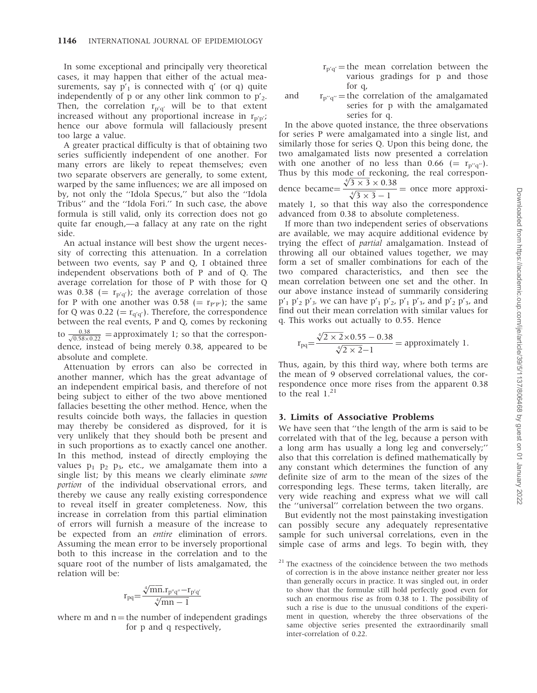In some exceptional and principally very theoretical cases, it may happen that either of the actual measurements, say  $p'_1$  is connected with q' (or q) quite independently of p or any other link common to  $p'_{2}$ . Then, the correlation  $r_{p'q'}$  will be to that extent increased without any proportional increase in  $r_{p'p'}$ ; hence our above formula will fallaciously present too large a value.

A greater practical difficulty is that of obtaining two series sufficiently independent of one another. For many errors are likely to repeat themselves; even two separate observers are generally, to some extent, warped by the same influences; we are all imposed on by, not only the ''Idola Specus,'' but also the ''Idola Tribus'' and the ''Idola Fori.'' In such case, the above formula is still valid, only its correction does not go quite far enough,—a fallacy at any rate on the right side.

An actual instance will best show the urgent necessity of correcting this attenuation. In a correlation between two events, say P and Q, I obtained three independent observations both of P and of Q. The average correlation for those of P with those for Q was 0.38 (=  $r_{p'q'}$ ); the average correlation of those for P with one another was  $0.58$  (=  $r_{P'P'}$ ); the same for Q was 0.22 (=  $r_{q'q'}$ ). Therefore, the correspondence between the real events, P and Q, comes by reckoning to  $\frac{0.38}{\sqrt{0.58 \times 0.22}}$  = approximately 1; so that the correspondence, instead of being merely 0.38, appeared to be absolute and complete.

Attenuation by errors can also be corrected in another manner, which has the great advantage of an independent empirical basis, and therefore of not being subject to either of the two above mentioned fallacies besetting the other method. Hence, when the results coincide both ways, the fallacies in question may thereby be considered as disproved, for it is very unlikely that they should both be present and in such proportions as to exactly cancel one another. In this method, instead of directly employing the values  $p_1$   $p_2$   $p_3$ , etc., we amalgamate them into a single list; by this means we clearly eliminate *some* portion of the individual observational errors, and thereby we cause any really existing correspondence to reveal itself in greater completeness. Now, this increase in correlation from this partial elimination of errors will furnish a measure of the increase to be expected from an entire elimination of errors. Assuming the mean error to be inversely proportional both to this increase in the correlation and to the square root of the number of lists amalgamated, the relation will be:

$$
r_{pq} = \frac{\sqrt[4]{mn} \cdot r_{p''q''} - r_{p'q'}}{\sqrt[4]{mn - 1}}
$$

where m and  $n =$  the number of independent gradings for p and q respectively,

- $r_{p'q'}$  = the mean correlation between the various gradings for p and those for q,
- and  $r_{p''q''}$  = the correlation of the amalgamated series for p with the amalgamated series for q.

In the above quoted instance, the three observations for series P were amalgamated into a single list, and similarly those for series Q. Upon this being done, the two amalgamated lists now presented a correlation with one another of no less than 0.66 ( $= r_{p''q''}$ ). Thus by this mode of reckoning, the real correspondence became=  $\frac{\sqrt[4]{3 \times 3} \times 0.38}{\sqrt[4]{3 \times 3} - 1}$  = once more approxi-

mately 1, so that this way also the correspondence advanced from 0.38 to absolute completeness.

If more than two independent series of observations are available, we may acquire additional evidence by trying the effect of *partial* amalgamation. Instead of throwing all our obtained values together, we may form a set of smaller combinations for each of the two compared characteristics, and then see the mean correlation between one set and the other. In our above instance instead of summarily considering  $p'_1$   $p'_2$   $p'_3$ , we can have  $p'_1$   $p'_2$ ,  $p'_1$   $p'_3$ , and  $p'_2$   $p'_3$ , and find out their mean correlation with similar values for q. This works out actually to 0.55. Hence

$$
r_{pq} = \frac{\sqrt[4]{2 \times 2 \times 0.55 - 0.38}}{\sqrt[4]{2 \times 2 - 1}} = \text{approximately 1.}
$$

Thus, again, by this third way, where both terms are the mean of 9 observed correlational values, the correspondence once more rises from the apparent 0.38 to the real  $1.^{21}$ 

# 3. Limits of Associative Problems

We have seen that ''the length of the arm is said to be correlated with that of the leg, because a person with a long arm has usually a long leg and conversely;'' also that this correlation is defined mathematically by any constant which determines the function of any definite size of arm to the mean of the sizes of the corresponding legs. These terms, taken literally, are very wide reaching and express what we will call the ''universal'' correlation between the two organs.

But evidently not the most painstaking investigation can possibly secure any adequately representative sample for such universal correlations, even in the simple case of arms and legs. To begin with, they

 $21$  The exactness of the coincidence between the two methods of correction is in the above instance neither greater nor less than generally occurs in practice. It was singled out, in order to show that the formulæ still hold perfectly good even for such an enormous rise as from 0.38 to 1. The possibility of such a rise is due to the unusual conditions of the experiment in question, whereby the three observations of the same objective series presented the extraordinarily small inter-correlation of 0.22.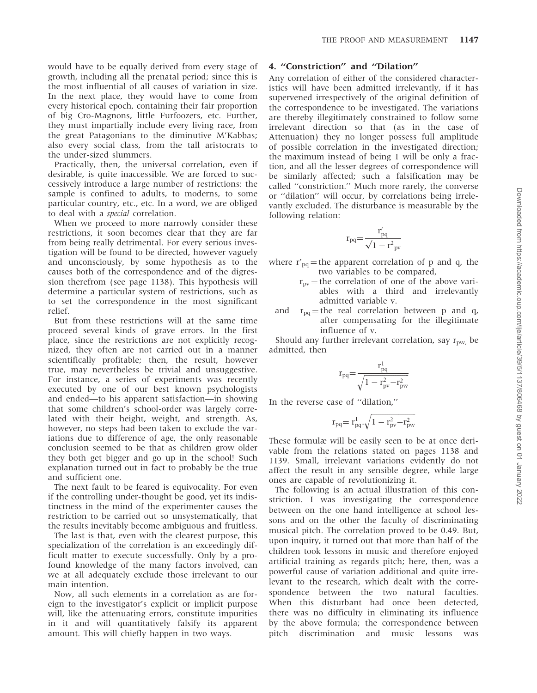would have to be equally derived from every stage of growth, including all the prenatal period; since this is the most influential of all causes of variation in size. In the next place, they would have to come from every historical epoch, containing their fair proportion of big Cro-Magnons, little Furfoozers, etc. Further, they must impartially include every living race, from the great Patagonians to the diminutive M'Kabbas; also every social class, from the tall aristocrats to the under-sized slummers.

Practically, then, the universal correlation, even if desirable, is quite inaccessible. We are forced to successively introduce a large number of restrictions: the sample is confined to adults, to moderns, to some particular country, etc., etc. In a word, we are obliged to deal with a special correlation.

When we proceed to more narrowly consider these restrictions, it soon becomes clear that they are far from being really detrimental. For every serious investigation will be found to be directed, however vaguely and unconsciously, by some hypothesis as to the causes both of the correspondence and of the digression therefrom (see page 1138). This hypothesis will determine a particular system of restrictions, such as to set the correspondence in the most significant relief.

But from these restrictions will at the same time proceed several kinds of grave errors. In the first place, since the restrictions are not explicitly recognized, they often are not carried out in a manner scientifically profitable; then, the result, however true, may nevertheless be trivial and unsuggestive. For instance, a series of experiments was recently executed by one of our best known psychologists and ended—to his apparent satisfaction—in showing that some children's school-order was largely correlated with their height, weight, and strength. As, however, no steps had been taken to exclude the variations due to difference of age, the only reasonable conclusion seemed to be that as children grow older they both get bigger and go up in the school! Such explanation turned out in fact to probably be the true and sufficient one.

The next fault to be feared is equivocality. For even if the controlling under-thought be good, yet its indistinctness in the mind of the experimenter causes the restriction to be carried out so unsystematically, that the results inevitably become ambiguous and fruitless.

The last is that, even with the clearest purpose, this specialization of the correlation is an exceedingly difficult matter to execute successfully. Only by a profound knowledge of the many factors involved, can we at all adequately exclude those irrelevant to our main intention.

Now, all such elements in a correlation as are foreign to the investigator's explicit or implicit purpose will, like the attenuating errors, constitute impurities in it and will quantitatively falsify its apparent amount. This will chiefly happen in two ways.

#### 4. ''Constriction'' and ''Dilation''

Any correlation of either of the considered characteristics will have been admitted irrelevantly, if it has supervened irrespectively of the original definition of the correspondence to be investigated. The variations are thereby illegitimately constrained to follow some irrelevant direction so that (as in the case of Attenuation) they no longer possess full amplitude of possible correlation in the investigated direction; the maximum instead of being 1 will be only a fraction, and all the lesser degrees of correspondence will be similarly affected; such a falsification may be called ''constriction.'' Much more rarely, the converse or ''dilation'' will occur, by correlations being irrelevantly excluded. The disturbance is measurable by the following relation:

$$
r_{pq} = \frac{r'_{pq}}{\sqrt{1-r^2}_{pv}}
$$

where  $r'_{pq}$  = the apparent correlation of p and q, the two variables to be compared,

- $r_{\text{av}}$  = the correlation of one of the above variables with a third and irrelevantly admitted variable v.
- and  $r_{pq}$  = the real correlation between p and q, after compensating for the illegitimate influence of v.

Should any further irrelevant correlation, say  $r_{\text{nw}}$  be admitted, then

$$
r_{pq} \!\!=\!\! \frac{r_{pq}^1}{\sqrt{1-r_{pv}^2\!-\!r_{pw}^2}}
$$

In the reverse case of ''dilation,''

$$
r_{pq}\!\!=r^1_{pq}\!\cdot\!\!\sqrt{1-r^2_{pv}\!\!- \!r^2_{pw}}
$$

These formulæ will be easily seen to be at once derivable from the relations stated on pages 1138 and 1139. Small, irrelevant variations evidently do not affect the result in any sensible degree, while large ones are capable of revolutionizing it.

The following is an actual illustration of this constriction. I was investigating the correspondence between on the one hand intelligence at school lessons and on the other the faculty of discriminating musical pitch. The correlation proved to be 0.49. But, upon inquiry, it turned out that more than half of the children took lessons in music and therefore enjoyed artificial training as regards pitch; here, then, was a powerful cause of variation additional and quite irrelevant to the research, which dealt with the correspondence between the two natural faculties. When this disturbant had once been detected, there was no difficulty in eliminating its influence by the above formula; the correspondence between pitch discrimination and music lessons was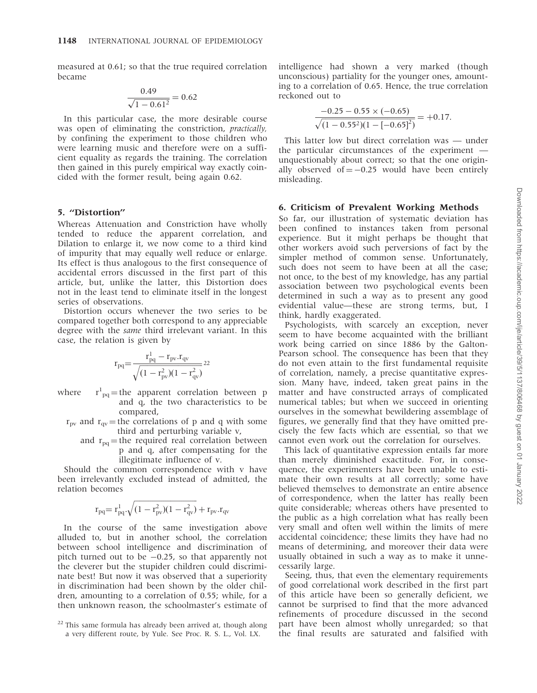measured at 0.61; so that the true required correlation became

$$
\frac{0.49}{\sqrt{1 - 0.61^2}} = 0.62
$$

In this particular case, the more desirable course was open of eliminating the constriction, practically, by confining the experiment to those children who were learning music and therefore were on a sufficient equality as regards the training. The correlation then gained in this purely empirical way exactly coincided with the former result, being again 0.62.

#### 5. ''Distortion''

Whereas Attenuation and Constriction have wholly tended to reduce the apparent correlation, and Dilation to enlarge it, we now come to a third kind of impurity that may equally well reduce or enlarge. Its effect is thus analogous to the first consequence of accidental errors discussed in the first part of this article, but, unlike the latter, this Distortion does not in the least tend to eliminate itself in the longest series of observations.

Distortion occurs whenever the two series to be compared together both correspond to any appreciable degree with the same third irrelevant variant. In this case, the relation is given by

$$
r_{pq} = \frac{r_{pq}^{1} - r_{pv}.r_{qv}}{\sqrt{(1 - r_{pv}^{2})(1 - r_{qv}^{2})}}
$$

- where  $r_{\text{pq}}^{\text{I}}$  = the apparent correlation between p and q, the two characteristics to be compared,
	- $r_{\text{pv}}$  and  $r_{\text{qv}}$  = the correlations of p and q with some third and perturbing variable v,
		- and  $r_{\text{pa}}$  = the required real correlation between p and q, after compensating for the illegitimate influence of v.

Should the common correspondence with v have been irrelevantly excluded instead of admitted, the relation becomes

$$
r_{pq}\!\!=r^1_{pq}\!\!\cdot\!\!\sqrt{(1-r^2_{pv})(1-r^2_{qv})}+r_{pv}\!\!\cdot\! r_{qv}
$$

In the course of the same investigation above alluded to, but in another school, the correlation between school intelligence and discrimination of pitch turned out to be  $-0.25$ , so that apparently not the cleverer but the stupider children could discriminate best! But now it was observed that a superiority in discrimination had been shown by the older children, amounting to a correlation of 0.55; while, for a then unknown reason, the schoolmaster's estimate of intelligence had shown a very marked (though unconscious) partiality for the younger ones, amounting to a correlation of 0.65. Hence, the true correlation reckoned out to

$$
\frac{-0.25 - 0.55 \times (-0.65)}{\sqrt{(1 - 0.55^2)(1 - [-0.65]^2)}} = +0.17.
$$

This latter low but direct correlation was — under the particular circumstances of the experiment unquestionably about correct; so that the one originally observed of  $= -0.25$  would have been entirely misleading.

#### 6. Criticism of Prevalent Working Methods

So far, our illustration of systematic deviation has been confined to instances taken from personal experience. But it might perhaps be thought that other workers avoid such perversions of fact by the simpler method of common sense. Unfortunately, such does not seem to have been at all the case; not once, to the best of my knowledge, has any partial association between two psychological events been determined in such a way as to present any good evidential value—these are strong terms, but, I think, hardly exaggerated.

Psychologists, with scarcely an exception, never seem to have become acquainted with the brilliant work being carried on since 1886 by the Galton-Pearson school. The consequence has been that they do not even attain to the first fundamental requisite of correlation, namely, a precise quantitative expression. Many have, indeed, taken great pains in the matter and have constructed arrays of complicated numerical tables; but when we succeed in orienting ourselves in the somewhat bewildering assemblage of figures, we generally find that they have omitted precisely the few facts which are essential, so that we cannot even work out the correlation for ourselves.

This lack of quantitative expression entails far more than merely diminished exactitude. For, in consequence, the experimenters have been unable to estimate their own results at all correctly; some have believed themselves to demonstrate an entire absence of correspondence, when the latter has really been quite considerable; whereas others have presented to the public as a high correlation what has really been very small and often well within the limits of mere accidental coincidence; these limits they have had no means of determining, and moreover their data were usually obtained in such a way as to make it unnecessarily large.

Seeing, thus, that even the elementary requirements of good correlational work described in the first part of this article have been so generally deficient, we cannot be surprised to find that the more advanced refinements of procedure discussed in the second part have been almost wholly unregarded; so that the final results are saturated and falsified with

 $22$  This same formula has already been arrived at, though along a very different route, by Yule. See Proc. R. S. L., Vol. LX.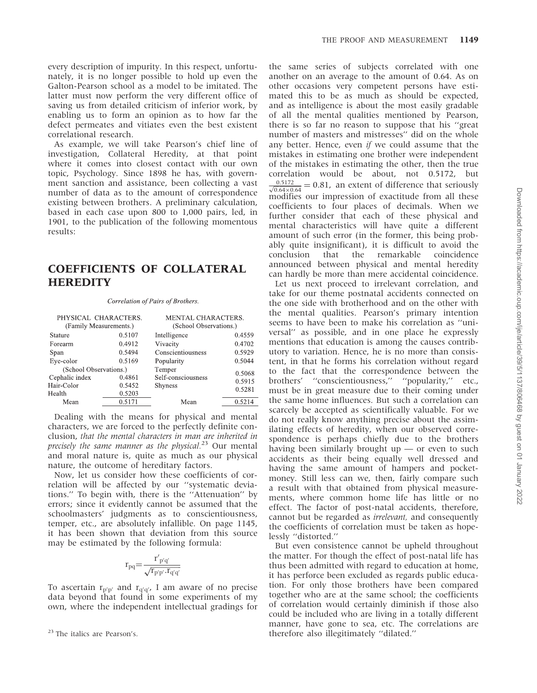every description of impurity. In this respect, unfortunately, it is no longer possible to hold up even the Galton-Pearson school as a model to be imitated. The latter must now perform the very different office of saving us from detailed criticism of inferior work, by enabling us to form an opinion as to how far the defect permeates and vitiates even the best existent correlational research.

As example, we will take Pearson's chief line of investigation, Collateral Heredity, at that point where it comes into closest contact with our own topic, Psychology. Since 1898 he has, with government sanction and assistance, been collecting a vast number of data as to the amount of correspondence existing between brothers. A preliminary calculation, based in each case upon 800 to 1,000 pairs, led, in 1901, to the publication of the following momentous results:

# COEFFICIENTS OF COLLATERAL **HEREDITY**

#### Correlation of Pairs of Brothers.

| PHYSICAL CHARACTERS.<br>(Family Measurements.) |        | MENTAL CHARACTERS.<br>(School Observations.) |        |  |
|------------------------------------------------|--------|----------------------------------------------|--------|--|
| Stature                                        | 0.5107 | Intelligence                                 | 0.4559 |  |
| Forearm                                        | 0.4912 | Vivacity                                     | 0.4702 |  |
| Span                                           | 0.5494 | Conscientiousness                            | 0.5929 |  |
| Eye-color                                      | 0.5169 | Popularity                                   | 0.5044 |  |
| (School Observations.)                         |        | Temper                                       | 0.5068 |  |
| Cephalic index                                 | 0.4861 | Self-consciousness                           | 0.5915 |  |
| Hair-Color                                     | 0.5452 | <b>Shyness</b>                               |        |  |
| Health                                         | 0.5203 |                                              | 0.5281 |  |
| Mean                                           | 0.5171 | Mean                                         | 0.5214 |  |
|                                                |        |                                              |        |  |

Dealing with the means for physical and mental characters, we are forced to the perfectly definite conclusion, that the mental characters in man are inherited in precisely the same manner as the physical.<sup>23</sup> Our mental and moral nature is, quite as much as our physical nature, the outcome of hereditary factors.

Now, let us consider how these coefficients of correlation will be affected by our ''systematic deviations.'' To begin with, there is the ''Attenuation'' by errors; since it evidently cannot be assumed that the schoolmasters' judgments as to conscientiousness, temper, etc., are absolutely infallible. On page 1145, it has been shown that deviation from this source may be estimated by the following formula:

$$
r_{pq} = \frac{r'_{p'q'}}{\sqrt{r_{p'p'} \cdot r_{q'q'}}}
$$

To ascertain  $r_{p'p'}$  and  $r_{q'q'}$ , I am aware of no precise data beyond that found in some experiments of my own, where the independent intellectual gradings for

the same series of subjects correlated with one another on an average to the amount of 0.64. As on other occasions very competent persons have estimated this to be as much as should be expected, and as intelligence is about the most easily gradable of all the mental qualities mentioned by Pearson, there is so far no reason to suppose that his ''great number of masters and mistresses'' did on the whole any better. Hence, even if we could assume that the mistakes in estimating one brother were independent of the mistakes in estimating the other, then the true correlation would be about, not 0.5172, but  $\frac{0.5172}{\sqrt{0.64 \times 0.64}}$  = 0.81, an extent of difference that seriously modifies our impression of exactitude from all these coefficients to four places of decimals. When we further consider that each of these physical and mental characteristics will have quite a different amount of such error (in the former, this being probably quite insignificant), it is difficult to avoid the conclusion that the remarkable coincidence announced between physical and mental heredity can hardly be more than mere accidental coincidence.

Let us next proceed to irrelevant correlation, and take for our theme postnatal accidents connected on the one side with brotherhood and on the other with the mental qualities. Pearson's primary intention seems to have been to make his correlation as ''universal'' as possible, and in one place he expressly mentions that education is among the causes contributory to variation. Hence, he is no more than consistent, in that he forms his correlation without regard to the fact that the correspondence between the brothers' ''conscientiousness,'' ''popularity,'' etc., must be in great measure due to their coming under the same home influences. But such a correlation can scarcely be accepted as scientifically valuable. For we do not really know anything precise about the assimilating effects of heredity, when our observed correspondence is perhaps chiefly due to the brothers having been similarly brought up — or even to such accidents as their being equally well dressed and having the same amount of hampers and pocketmoney. Still less can we, then, fairly compare such a result with that obtained from physical measurements, where common home life has little or no effect. The factor of post-natal accidents, therefore, cannot but be regarded as irrelevant, and consequently the coefficients of correlation must be taken as hopelessly ''distorted.''

But even consistence cannot be upheld throughout the matter. For though the effect of post-natal life has thus been admitted with regard to education at home, it has perforce been excluded as regards public education. For only those brothers have been compared together who are at the same school; the coefficients of correlation would certainly diminish if those also could be included who are living in a totally different manner, have gone to sea, etc. The correlations are <sup>23</sup> The italics are Pearson's. The italics are Pearson's. The italian of the effore also illegitimately "dilated."